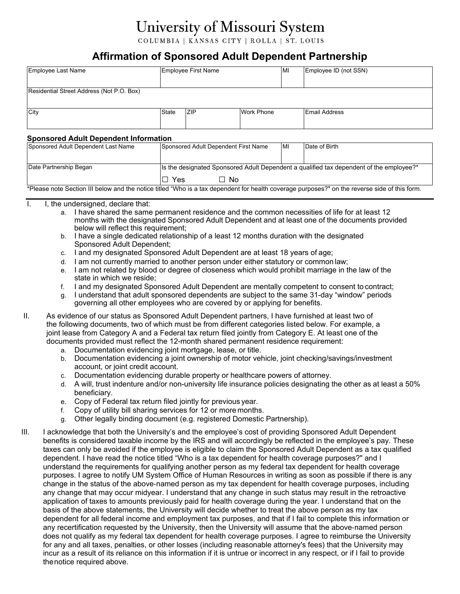# University of Missouri System

COLUMBIA | KANSAS CITY | ROLLA | ST. LOUIS

## **Affirmation of Sponsored Adult Dependent Partnership**

| Employee Last Name                               |              | Employee First Name |                   | MI | Employee ID (not SSN) |  |  |
|--------------------------------------------------|--------------|---------------------|-------------------|----|-----------------------|--|--|
|                                                  |              |                     |                   |    |                       |  |  |
| Residential Street Address (Not P.O. Box)        |              |                     |                   |    |                       |  |  |
|                                                  |              |                     |                   |    |                       |  |  |
| City                                             | <b>State</b> | <b>ZIP</b>          | <b>Work Phone</b> |    | <b>Email Address</b>  |  |  |
|                                                  |              |                     |                   |    |                       |  |  |
| On a no a no al-A al-H Daman dan Alufa months in |              |                     |                   |    |                       |  |  |

#### **Sponsored Adult Dependent Information**

| Sponsored Adult Dependent Last Name                                                                                                           | Sponsored Adult Dependent First Name                                                     |      | IMI | Date of Birth |  |  |  |
|-----------------------------------------------------------------------------------------------------------------------------------------------|------------------------------------------------------------------------------------------|------|-----|---------------|--|--|--|
|                                                                                                                                               |                                                                                          |      |     |               |  |  |  |
|                                                                                                                                               |                                                                                          |      |     |               |  |  |  |
| Date Partnership Began                                                                                                                        | Its the designated Sponsored Adult Dependent a qualified tax dependent of the employee?* |      |     |               |  |  |  |
|                                                                                                                                               | l Yes                                                                                    | ⊟ No |     |               |  |  |  |
| *Please note Section III below and the notice titled "Who is a tax dependent for health coverage purposes?" on the reverse side of this form. |                                                                                          |      |     |               |  |  |  |

I. I. the undersigned, declare that:

- a. I have shared the same permanent residence and the common necessities of life for at least 12 months with the designated Sponsored Adult Dependent and at least one of the documents provided below will reflect this requirement;
- b. I have a single dedicated relationship of a least 12 months duration with the designated Sponsored Adult Dependent;
- c. I and my designated Sponsored Adult Dependent are at least 18 years of age;
- d. I am not currently married to another person under either statutory or common law;
- e. I am not related by blood or degree of closeness which would prohibit marriage in the law of the state in which we reside;
- f. I and my designated Sponsored Adult Dependent are mentally competent to consent to contract;
- g. I understand that adult sponsored dependents are subject to the same 31-day "window" periods governing all other employees who are covered by or applying for benefits.
- II. As evidence of our status as Sponsored Adult Dependent partners, I have furnished at least two of the following documents, two of which must be from different categories listed below. For example, a joint lease from Category A and a Federal tax return filed jointly from Category E. At least one of the documents provided must reflect the 12-month shared permanent residence requirement:
	- a. Documentation evidencing joint mortgage, lease, or title.
	- b. Documentation evidencing a joint ownership of motor vehicle, joint checking/savings/investment account, or joint credit account.
	- c. Documentation evidencing durable property or healthcare powers of attorney.
	- d. A will, trust indenture and/or non-university life insurance policies designating the other as at least a 50% beneficiary.
	- e. Copy of Federal tax return filed jointly for previous year.
	- f. Copy of utility bill sharing services for 12 or more months.
	- g. Other legally binding document (e.g. registered Domestic Partnership).
- III. I acknowledge that both the University's and the employee's cost of providing Sponsored Adult Dependent benefits is considered taxable income by the IRS and will accordingly be reflected in the employee's pay. These taxes can only be avoided if the employee is eligible to claim the Sponsored Adult Dependent as a tax qualified dependent. I have read the notice titled "Who is a tax dependent for health coverage purposes?" and I understand the requirements for qualifying another person as my federal tax dependent for health coverage purposes. I agree to notify UM System Office of Human Resources in writing as soon as possible if there is any change in the status of the above‐named person as my tax dependent for health coverage purposes, including any change that may occur midyear. I understand that any change in such status may result in the retroactive application of taxes to amounts previously paid for health coverage during the year. I understand that on the basis of the above statements, the University will decide whether to treat the above person as my tax dependent for all federal income and employment tax purposes, and that if I fail to complete this information or any recertification requested by the University, then the University will assume that the above‐named person does not qualify as my federal tax dependent for health coverage purposes. I agree to reimburse the University for any and all taxes, penalties, or other losses (including reasonable attorney's fees) that the University may incur as a result of its reliance on this information if it is untrue or incorrect in any respect, or if I fail to provide thenotice required above.